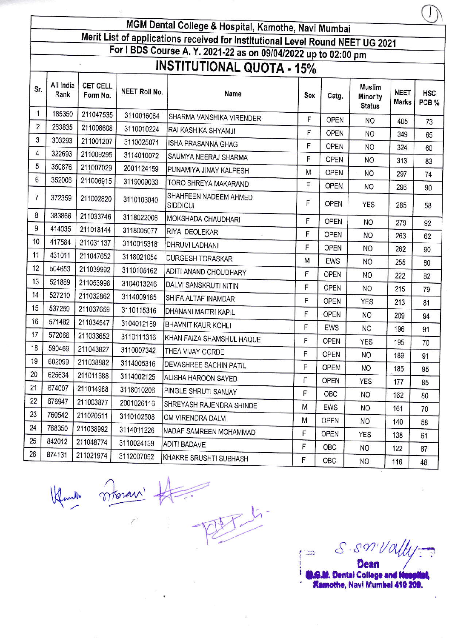MGM Dental College & Hospital, Kamothe, Navi Mumbai Merit List of applications received for Institutional Level Round NEET UG 2021 For I BDS Course A. Y. 2021-22 as on 09/04/2022 up to 02:00 pm **INSTITUTIONAL QUOTA - 15%** All India **CET CELL** Muslim **NEET Roll No. NEET HSC** Rank Name Form No. Sex Catg. Minority **Marks** PCB % **Status** 185350 211047535 3110016064 SHARMA VANSHIKA VIRENDER F OPEN **NO** 405 73 263835 211008608 3110010224 RAI KASHIKA SHYAMJI F **OPEN NO** 349 65 303293 211001207 3110025071 **ISHA PRASANNA GHAG** F OPEN NO 324 60 322693 211009295 3114010072 SAUMYA NEERAJ SHARMA F OPEN **NO** 313 83 350876 211007029 2001124159 PUNAMIYA JINAY KALPESH M **OPEN NO** 297 74 352006 211006915 3119009033 TORO SHREYA MAKARAND  $\mathsf{F}$ OPEN N<sub>O</sub> 296 90 SHAHFEEN NADEEM AHMED 372359 211002820 3110103040 F **OPEN YES** SIDDIQUI 285 58 383866 211033746 3118022006  $11015151515$ 

| 8               | 383866 | 211033746 | 3118022006 | MOKSHADA CHAUDHARI            | F | <b>OPEN</b> | <b>NO</b>      | 279 | 92 |
|-----------------|--------|-----------|------------|-------------------------------|---|-------------|----------------|-----|----|
| 9               | 414035 | 211018144 | 3118005077 | RIYA DEOLEKAR                 | F | <b>OPEN</b> | <b>NO</b>      | 263 | 62 |
| 10 <sup>1</sup> | 417584 | 211031137 | 3110015318 | DHRUVI LADHANI                | F | <b>OPEN</b> | NO             | 262 | 90 |
| 11              | 431011 | 211047652 | 3118021054 | <b>DURGESH TORASKAR</b>       | M | EWS         | <b>NO</b>      | 255 | 80 |
| 12              | 504653 | 211039992 | 3110105162 | ADITI ANAND CHOUDHARY         | F | <b>OPEN</b> | NO.            |     |    |
| 13              | 521889 | 211053998 | 3104013246 | DALVI SANSKRUTI NITIN         | F | <b>OPEN</b> |                | 222 | 82 |
| 14              | 527210 | 211032862 | 3114009185 | SHIFA ALTAF INAMDAR           |   |             | NO             | 215 | 79 |
| 15              | 537259 | 211037659 | 3110115316 |                               | F | OPEN        | <b>YES</b>     | 213 | 81 |
| 16              | 571482 |           |            | DHANANI MAITRI KAPIL          | F | OPEN        | NO             | 209 | 94 |
|                 |        | 211034547 | 3104012169 | <b>BHAVNIT KAUR KOHLI</b>     | F | EWS         | NO             | 196 | 91 |
| 17              | 572066 | 211033652 | 3110111316 | KHAN FAIZA SHAMSHUL HAQUE     | F | <b>OPEN</b> | <b>YES</b>     | 195 | 70 |
| 18              | 590469 | 211043827 | 3110007342 | THEA VIJAY GORDE              | F | <b>OPEN</b> | <b>NO</b>      | 189 | 91 |
| 19              | 602099 | 211038882 | 3114005316 | <b>DEVASHREE SACHIN PATIL</b> | F | <b>OPEN</b> | NO             | 185 | 95 |
| 20              | 625634 | 211011688 | 3114002125 | ALISHA HAROON SAYED           | F | <b>OPEN</b> | YES            | 177 |    |
| 21              | 674007 | 211014988 | 3118010206 | PINGLE SHRUTI SANJAY          | F | OBC         |                |     | 85 |
| 22              | 676947 | 211003877 | 2001026116 | SHREYASH RAJENDRA SHINDE      |   |             | N <sub>O</sub> | 162 | 80 |
| 23              | 760542 | 211020511 | 3110102508 |                               | M | EWS         | <b>NO</b>      | 161 | 70 |
| 24              | 768350 |           |            | OM VIRENDRA DALVI             | M | <b>OPEN</b> | <b>NO</b>      | 140 | 58 |
|                 |        | 211038992 | 3114011226 | NADAF SAMREEN MOHAMMAD        | F | OPEN        | YES            | 138 | 61 |
| 25              | 842012 | 211048774 | 3110024139 | <b>ADITI BADAVE</b>           | F | OBC         | NO.            | 122 | 87 |
| 26              | 874131 | 211021974 | 3112007052 | KHAKRE SRUSHTI SUBHASH        | F | OBC         | <b>NO</b>      | 116 | 48 |
|                 |        |           |            |                               |   |             |                |     |    |

Sr.

 $\mathbf{1}$ 

 $\overline{c}$ 

3

 $\overline{4}$ 

5

6

 $\overline{7}$ 

Klander mari # 15

S.S. Vally  $\mathbb{Z} \mathbb{Z}$ 

**B.G.M. Dental College and Hoppi Kamothe, Navi Mumbal 410 209.**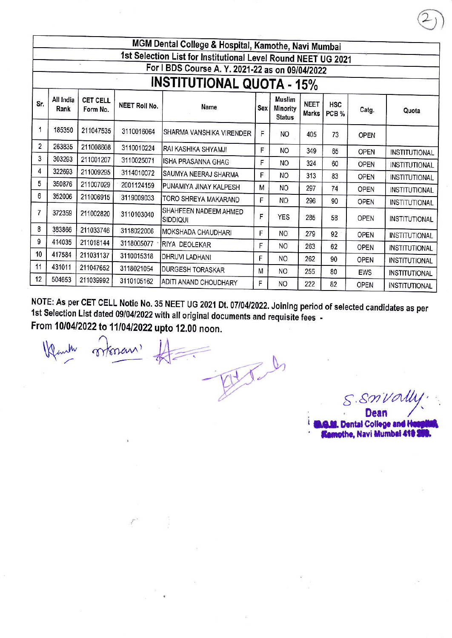|     |                                  |                      |                      | MGM Dental College & Hospital, Kamothe, Navi Mumbai           |            |                                                   |                             |                     |             |                      |
|-----|----------------------------------|----------------------|----------------------|---------------------------------------------------------------|------------|---------------------------------------------------|-----------------------------|---------------------|-------------|----------------------|
|     |                                  |                      |                      | 1st Selection List for Institutional Level Round NEET UG 2021 |            |                                                   |                             |                     |             |                      |
|     |                                  |                      |                      | For I BDS Course A. Y. 2021-22 as on 09/04/2022               |            |                                                   |                             |                     |             |                      |
|     | <b>INSTITUTIONAL QUOTA - 15%</b> |                      |                      |                                                               |            |                                                   |                             |                     |             |                      |
| Sr. | All India<br>Rank                | CET CELL<br>Form No. | <b>NEET Roll No.</b> | Name                                                          | <b>Sex</b> | <b>Muslim</b><br><b>Minority</b><br><b>Status</b> | <b>NEET</b><br><b>Marks</b> | <b>HSC</b><br>PCB % | Catg.       | Quota                |
| 1   | 185350                           | 211047535            | 3110016064           | SHARMA VANSHIKA VIRENDER                                      | F          | NO                                                | 405                         | 73                  | <b>OPEN</b> |                      |
| 2   | 263835                           | 211008608            | 3110010224           | RAI KASHIKA SHYAMJI                                           | F          | NO.                                               | 349                         | 65                  | <b>OPEN</b> | <b>INSTITUTIONAL</b> |
| 3   | 303293                           | 211001207            | 3110025071           | <b>ISHA PRASANNA GHAG</b>                                     | F          | NO                                                | 324                         | 60                  | <b>OPEN</b> | <b>INSTITUTIONAL</b> |
| 4   | 322693                           | 211009295            | 3114010072           | SAUMYA NEERAJ SHARMA                                          | F          | NO.                                               | 313                         | 83                  | <b>OPEN</b> | <b>INSTITUTIONAL</b> |
| 5   | 350876                           | 211007029            | 2001124159           | PUNAMIYA JINAY KALPESH                                        | М          | NO                                                | 297                         | 74                  | <b>OPEN</b> | <b>INSTITUTIONAL</b> |
| 6   | 352006                           | 211006915            | 3119009033           | TORO SHREYA MAKARAND                                          | F          | <b>NO</b>                                         | 296                         | 90                  | <b>OPEN</b> | <b>INSTITUTIONAL</b> |
| 7   | 372359                           | 211002820            | 3110103040           | SHAHFEEN NADEEM AHMED<br><b>SIDDIQUI</b>                      | F          | <b>YES</b>                                        | 285                         | 58                  | OPEN        | <b>INSTITUTIONAL</b> |
| 8   | 383866                           | 211033746            | 3118022006           | MOKSHADA CHAUDHARI                                            | F          | N <sub>O</sub>                                    | 279                         | 92                  | <b>OPEN</b> | <b>INSTITUTIONAL</b> |
| 9   | 414035                           | 211018144            | 3118005077           | RIYA DEOLEKAR                                                 | F          | NO.                                               | 263                         | 62                  | <b>OPEN</b> | <b>INSTITUTIONAL</b> |
| 10  | 417584                           | 211031137            | 3110015318           | <b>DHRUVI LADHANI</b>                                         | F          | NO.                                               | 262                         | 90                  | <b>OPEN</b> | <b>INSTITUTIONAL</b> |
| 11  | 431011                           | 211047652            | 3118021054           | <b>DURGESH TORASKAR</b>                                       | м          | NO.                                               | 255                         | 80                  | EWS         | <b>INSTITUTIONAL</b> |
| 12  | 504653                           | 211039992            | 3110105162           | ADITI ANAND CHOUDHARY                                         | F          | <b>NO</b>                                         | 222                         | 82                  | <b>OPEN</b> | <b>INSTITUTIONAL</b> |

NOTE: As per CET CELL Notie No. 35 NEET UG 2021 Dt. 07/04/2022. Joining period of selected candidates as per 1st Selection List dated 09/04/2022 with all original documents and requisite fees -From 10/04/2022 to 11/04/2022 upto 12.00 noon.

moran,

 $S.$ SnVa **Dean** 

**I.G.M. Dental College and H Kamothe, Navi Mumbal 410 \$**